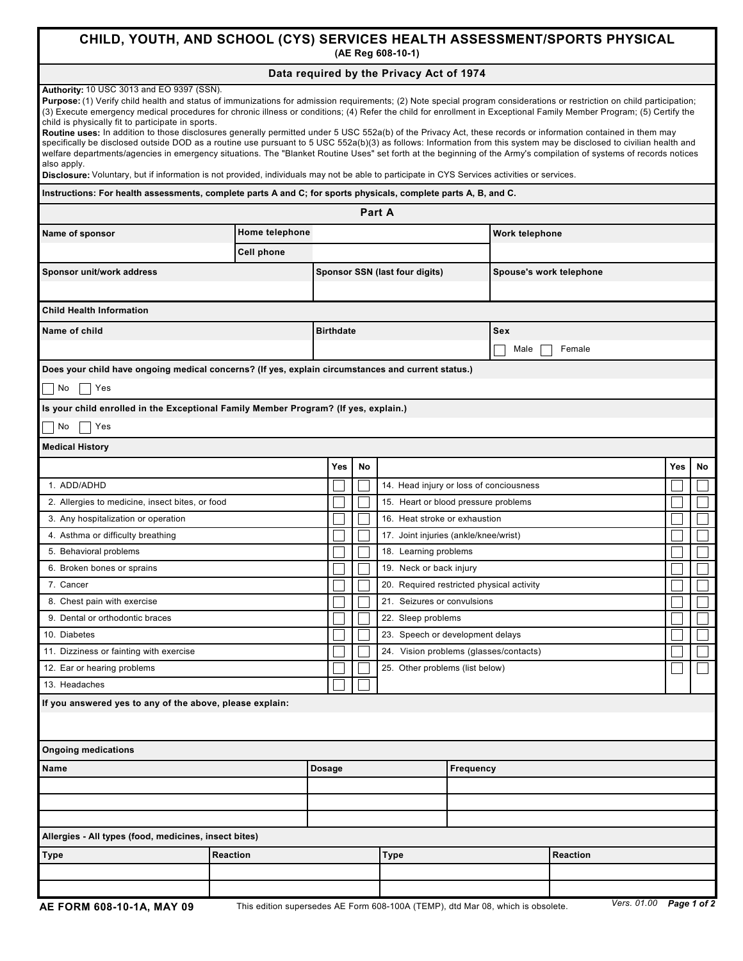## **CHILD, YOUTH, AND SCHOOL (CYS) SERVICES HEALTH ASSESSMENT/SPORTS PHYSICAL (AE Reg 608-10-1)**

## **Data required by the Privacy Act of 1974**

| Authority: 10 USC 3013 and EO 9397 (SSN).<br>Purpose: (1) Verify child health and status of immunizations for admission requirements; (2) Note special program considerations or restriction on child participation;<br>(3) Execute emergency medical procedures for chronic illness or conditions; (4) Refer the child for enrollment in Exceptional Family Member Program; (5) Certify the<br>child is physically fit to participate in sports.<br>Routine uses: In addition to those disclosures generally permitted under 5 USC 552a(b) of the Privacy Act, these records or information contained in them may<br>specifically be disclosed outside DOD as a routine use pursuant to 5 USC 552a(b)(3) as follows: Information from this system may be disclosed to civilian health and<br>welfare departments/agencies in emergency situations. The "Blanket Routine Uses" set forth at the beginning of the Army's compilation of systems of records notices<br>also apply.<br>Disclosure: Voluntary, but if information is not provided, individuals may not be able to participate in CYS Services activities or services. |                   |  |                  |    |                                      |                                           |                         |     |    |  |  |
|-----------------------------------------------------------------------------------------------------------------------------------------------------------------------------------------------------------------------------------------------------------------------------------------------------------------------------------------------------------------------------------------------------------------------------------------------------------------------------------------------------------------------------------------------------------------------------------------------------------------------------------------------------------------------------------------------------------------------------------------------------------------------------------------------------------------------------------------------------------------------------------------------------------------------------------------------------------------------------------------------------------------------------------------------------------------------------------------------------------------------------------|-------------------|--|------------------|----|--------------------------------------|-------------------------------------------|-------------------------|-----|----|--|--|
| Instructions: For health assessments, complete parts A and C; for sports physicals, complete parts A, B, and C.                                                                                                                                                                                                                                                                                                                                                                                                                                                                                                                                                                                                                                                                                                                                                                                                                                                                                                                                                                                                                   |                   |  |                  |    |                                      |                                           |                         |     |    |  |  |
|                                                                                                                                                                                                                                                                                                                                                                                                                                                                                                                                                                                                                                                                                                                                                                                                                                                                                                                                                                                                                                                                                                                                   |                   |  |                  |    | <b>Part A</b>                        |                                           |                         |     |    |  |  |
| Name of sponsor                                                                                                                                                                                                                                                                                                                                                                                                                                                                                                                                                                                                                                                                                                                                                                                                                                                                                                                                                                                                                                                                                                                   | Home telephone    |  |                  |    |                                      | Work telephone                            |                         |     |    |  |  |
|                                                                                                                                                                                                                                                                                                                                                                                                                                                                                                                                                                                                                                                                                                                                                                                                                                                                                                                                                                                                                                                                                                                                   |                   |  |                  |    |                                      |                                           |                         |     |    |  |  |
|                                                                                                                                                                                                                                                                                                                                                                                                                                                                                                                                                                                                                                                                                                                                                                                                                                                                                                                                                                                                                                                                                                                                   | <b>Cell phone</b> |  |                  |    | Sponsor SSN (last four digits)       |                                           |                         |     |    |  |  |
| Sponsor unit/work address                                                                                                                                                                                                                                                                                                                                                                                                                                                                                                                                                                                                                                                                                                                                                                                                                                                                                                                                                                                                                                                                                                         |                   |  |                  |    |                                      |                                           | Spouse's work telephone |     |    |  |  |
|                                                                                                                                                                                                                                                                                                                                                                                                                                                                                                                                                                                                                                                                                                                                                                                                                                                                                                                                                                                                                                                                                                                                   |                   |  |                  |    |                                      |                                           |                         |     |    |  |  |
| <b>Child Health Information</b>                                                                                                                                                                                                                                                                                                                                                                                                                                                                                                                                                                                                                                                                                                                                                                                                                                                                                                                                                                                                                                                                                                   |                   |  |                  |    |                                      |                                           |                         |     |    |  |  |
| Name of child                                                                                                                                                                                                                                                                                                                                                                                                                                                                                                                                                                                                                                                                                                                                                                                                                                                                                                                                                                                                                                                                                                                     |                   |  | <b>Birthdate</b> |    |                                      |                                           | Sex                     |     |    |  |  |
|                                                                                                                                                                                                                                                                                                                                                                                                                                                                                                                                                                                                                                                                                                                                                                                                                                                                                                                                                                                                                                                                                                                                   |                   |  |                  |    |                                      |                                           | Male<br>Female          |     |    |  |  |
| Does your child have ongoing medical concerns? (If yes, explain circumstances and current status.)                                                                                                                                                                                                                                                                                                                                                                                                                                                                                                                                                                                                                                                                                                                                                                                                                                                                                                                                                                                                                                |                   |  |                  |    |                                      |                                           |                         |     |    |  |  |
| No<br>Yes                                                                                                                                                                                                                                                                                                                                                                                                                                                                                                                                                                                                                                                                                                                                                                                                                                                                                                                                                                                                                                                                                                                         |                   |  |                  |    |                                      |                                           |                         |     |    |  |  |
| Is your child enrolled in the Exceptional Family Member Program? (If yes, explain.)                                                                                                                                                                                                                                                                                                                                                                                                                                                                                                                                                                                                                                                                                                                                                                                                                                                                                                                                                                                                                                               |                   |  |                  |    |                                      |                                           |                         |     |    |  |  |
| No<br>Yes                                                                                                                                                                                                                                                                                                                                                                                                                                                                                                                                                                                                                                                                                                                                                                                                                                                                                                                                                                                                                                                                                                                         |                   |  |                  |    |                                      |                                           |                         |     |    |  |  |
| <b>Medical History</b>                                                                                                                                                                                                                                                                                                                                                                                                                                                                                                                                                                                                                                                                                                                                                                                                                                                                                                                                                                                                                                                                                                            |                   |  |                  |    |                                      |                                           |                         |     |    |  |  |
|                                                                                                                                                                                                                                                                                                                                                                                                                                                                                                                                                                                                                                                                                                                                                                                                                                                                                                                                                                                                                                                                                                                                   |                   |  | Yes              | No |                                      |                                           |                         | Yes | No |  |  |
| 1. ADD/ADHD                                                                                                                                                                                                                                                                                                                                                                                                                                                                                                                                                                                                                                                                                                                                                                                                                                                                                                                                                                                                                                                                                                                       |                   |  |                  |    |                                      | 14. Head injury or loss of conciousness   |                         |     |    |  |  |
| 2. Allergies to medicine, insect bites, or food                                                                                                                                                                                                                                                                                                                                                                                                                                                                                                                                                                                                                                                                                                                                                                                                                                                                                                                                                                                                                                                                                   |                   |  |                  |    | 15. Heart or blood pressure problems |                                           |                         |     |    |  |  |
| 3. Any hospitalization or operation                                                                                                                                                                                                                                                                                                                                                                                                                                                                                                                                                                                                                                                                                                                                                                                                                                                                                                                                                                                                                                                                                               |                   |  |                  |    |                                      | 16. Heat stroke or exhaustion             |                         |     |    |  |  |
| 4. Asthma or difficulty breathing                                                                                                                                                                                                                                                                                                                                                                                                                                                                                                                                                                                                                                                                                                                                                                                                                                                                                                                                                                                                                                                                                                 |                   |  |                  |    |                                      | 17. Joint injuries (ankle/knee/wrist)     |                         |     |    |  |  |
| 5. Behavioral problems                                                                                                                                                                                                                                                                                                                                                                                                                                                                                                                                                                                                                                                                                                                                                                                                                                                                                                                                                                                                                                                                                                            |                   |  |                  |    |                                      | 18. Learning problems                     |                         |     |    |  |  |
| 6. Broken bones or sprains                                                                                                                                                                                                                                                                                                                                                                                                                                                                                                                                                                                                                                                                                                                                                                                                                                                                                                                                                                                                                                                                                                        |                   |  |                  |    |                                      | 19. Neck or back injury                   |                         |     |    |  |  |
| 7. Cancer                                                                                                                                                                                                                                                                                                                                                                                                                                                                                                                                                                                                                                                                                                                                                                                                                                                                                                                                                                                                                                                                                                                         |                   |  |                  |    |                                      | 20. Required restricted physical activity |                         |     |    |  |  |
| 8. Chest pain with exercise                                                                                                                                                                                                                                                                                                                                                                                                                                                                                                                                                                                                                                                                                                                                                                                                                                                                                                                                                                                                                                                                                                       |                   |  |                  |    |                                      | 21. Seizures or convulsions               |                         |     |    |  |  |
| 9. Dental or orthodontic braces                                                                                                                                                                                                                                                                                                                                                                                                                                                                                                                                                                                                                                                                                                                                                                                                                                                                                                                                                                                                                                                                                                   |                   |  |                  |    | 22. Sleep problems                   |                                           |                         |     |    |  |  |
| 10. Diabetes                                                                                                                                                                                                                                                                                                                                                                                                                                                                                                                                                                                                                                                                                                                                                                                                                                                                                                                                                                                                                                                                                                                      |                   |  |                  |    |                                      | 23. Speech or development delays          |                         |     |    |  |  |
| 11. Dizziness or fainting with exercise                                                                                                                                                                                                                                                                                                                                                                                                                                                                                                                                                                                                                                                                                                                                                                                                                                                                                                                                                                                                                                                                                           |                   |  |                  |    |                                      | 24. Vision problems (glasses/contacts)    |                         |     |    |  |  |
| 12. Ear or hearing problems                                                                                                                                                                                                                                                                                                                                                                                                                                                                                                                                                                                                                                                                                                                                                                                                                                                                                                                                                                                                                                                                                                       |                   |  |                  |    | 25. Other problems (list below)      |                                           |                         |     |    |  |  |
| 13. Headaches                                                                                                                                                                                                                                                                                                                                                                                                                                                                                                                                                                                                                                                                                                                                                                                                                                                                                                                                                                                                                                                                                                                     |                   |  |                  |    |                                      |                                           |                         |     |    |  |  |
| If you answered yes to any of the above, please explain:                                                                                                                                                                                                                                                                                                                                                                                                                                                                                                                                                                                                                                                                                                                                                                                                                                                                                                                                                                                                                                                                          |                   |  |                  |    |                                      |                                           |                         |     |    |  |  |
| <b>Ongoing medications</b>                                                                                                                                                                                                                                                                                                                                                                                                                                                                                                                                                                                                                                                                                                                                                                                                                                                                                                                                                                                                                                                                                                        |                   |  |                  |    |                                      |                                           |                         |     |    |  |  |
| Name                                                                                                                                                                                                                                                                                                                                                                                                                                                                                                                                                                                                                                                                                                                                                                                                                                                                                                                                                                                                                                                                                                                              |                   |  | <b>Dosage</b>    |    |                                      | Frequency                                 |                         |     |    |  |  |
|                                                                                                                                                                                                                                                                                                                                                                                                                                                                                                                                                                                                                                                                                                                                                                                                                                                                                                                                                                                                                                                                                                                                   |                   |  |                  |    |                                      |                                           |                         |     |    |  |  |
|                                                                                                                                                                                                                                                                                                                                                                                                                                                                                                                                                                                                                                                                                                                                                                                                                                                                                                                                                                                                                                                                                                                                   |                   |  |                  |    |                                      |                                           |                         |     |    |  |  |
|                                                                                                                                                                                                                                                                                                                                                                                                                                                                                                                                                                                                                                                                                                                                                                                                                                                                                                                                                                                                                                                                                                                                   |                   |  |                  |    |                                      |                                           |                         |     |    |  |  |
| Allergies - All types (food, medicines, insect bites)                                                                                                                                                                                                                                                                                                                                                                                                                                                                                                                                                                                                                                                                                                                                                                                                                                                                                                                                                                                                                                                                             |                   |  |                  |    |                                      |                                           |                         |     |    |  |  |
| <b>Type</b><br><b>Reaction</b>                                                                                                                                                                                                                                                                                                                                                                                                                                                                                                                                                                                                                                                                                                                                                                                                                                                                                                                                                                                                                                                                                                    |                   |  |                  |    | Type                                 |                                           | <b>Reaction</b>         |     |    |  |  |
|                                                                                                                                                                                                                                                                                                                                                                                                                                                                                                                                                                                                                                                                                                                                                                                                                                                                                                                                                                                                                                                                                                                                   |                   |  |                  |    |                                      |                                           |                         |     |    |  |  |
|                                                                                                                                                                                                                                                                                                                                                                                                                                                                                                                                                                                                                                                                                                                                                                                                                                                                                                                                                                                                                                                                                                                                   |                   |  |                  |    |                                      |                                           |                         |     |    |  |  |